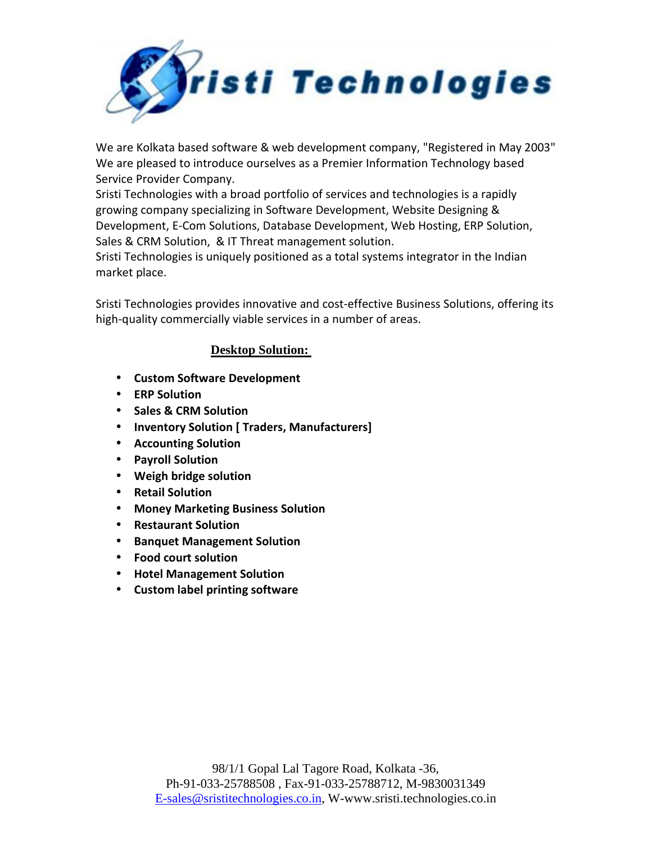

We are Kolkata based software & web development company, "Registered in May 2003" We are pleased to introduce ourselves as a Premier Information Technology based Service Provider Company.

Sristi Technologies with a broad portfolio of services and technologies is a rapidly growing company specializing in Software Development, Website Designing & Development, E-Com Solutions, Database Development, Web Hosting, ERP Solution, Sales & CRM Solution, & IT Threat management solution.

Sristi Technologies is uniquely positioned as a total systems integrator in the Indian market place.

Sristi Technologies provides innovative and cost-effective Business Solutions, offering its high-quality commercially viable services in a number of areas.

## **Desktop Solution:**

- **Custom Software Development**
- **ERP Solution**
- **Sales & CRM Solution**
- **Inventory Solution [ Traders, Manufacturers]**
- **Accounting Solution**
- **Payroll Solution**
- **Weigh bridge solution**
- **Retail Solution**
- **Money Marketing Business Solution**
- **Restaurant Solution**
- **Banquet Management Solution**
- **Food court solution**
- **Hotel Management Solution**
- **Custom label printing software**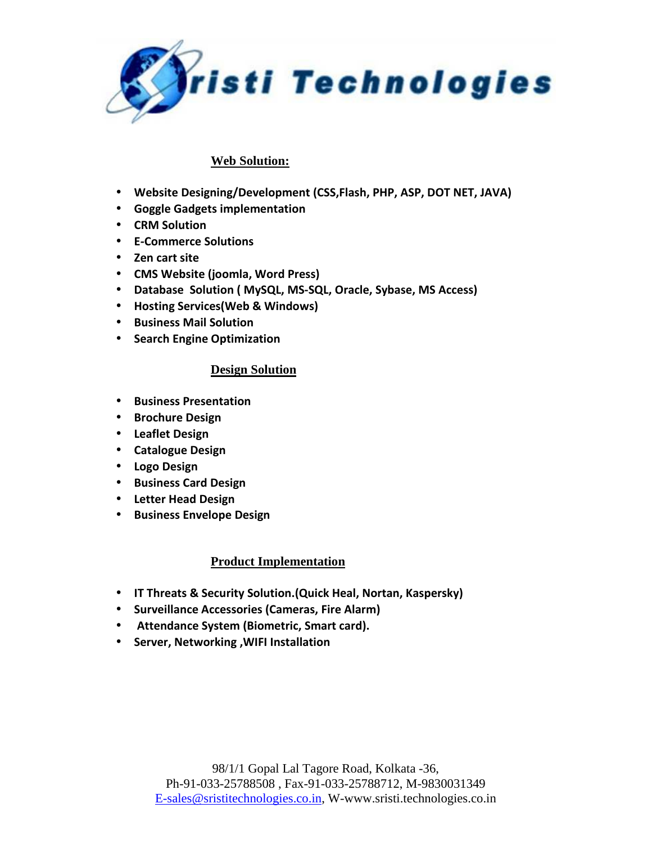

## **Web Solution:**

- **Website Designing/Development (CSS,Flash, PHP, ASP, DOT NET, JAVA)**
- **Goggle Gadgets implementation**
- **CRM Solution**
- **E-Commerce Solutions**
- **Zen cart site**
- **CMS Website (joomla, Word Press)**
- **Database Solution ( MySQL, MS-SQL, Oracle, Sybase, MS Access)**
- **Hosting Services(Web & Windows)**
- **Business Mail Solution**
- **Search Engine Optimization**

## **Design Solution**

- **Business Presentation**
- **Brochure Design**
- **Leaflet Design**
- **Catalogue Design**
- **Logo Design**
- **Business Card Design**
- **Letter Head Design**
- **Business Envelope Design**

## **Product Implementation**

- **IT Threats & Security Solution.(Quick Heal, Nortan, Kaspersky)**
- **Surveillance Accessories (Cameras, Fire Alarm)**
- • **Attendance System (Biometric, Smart card).**
- **Server, Networking ,WIFI Installation**